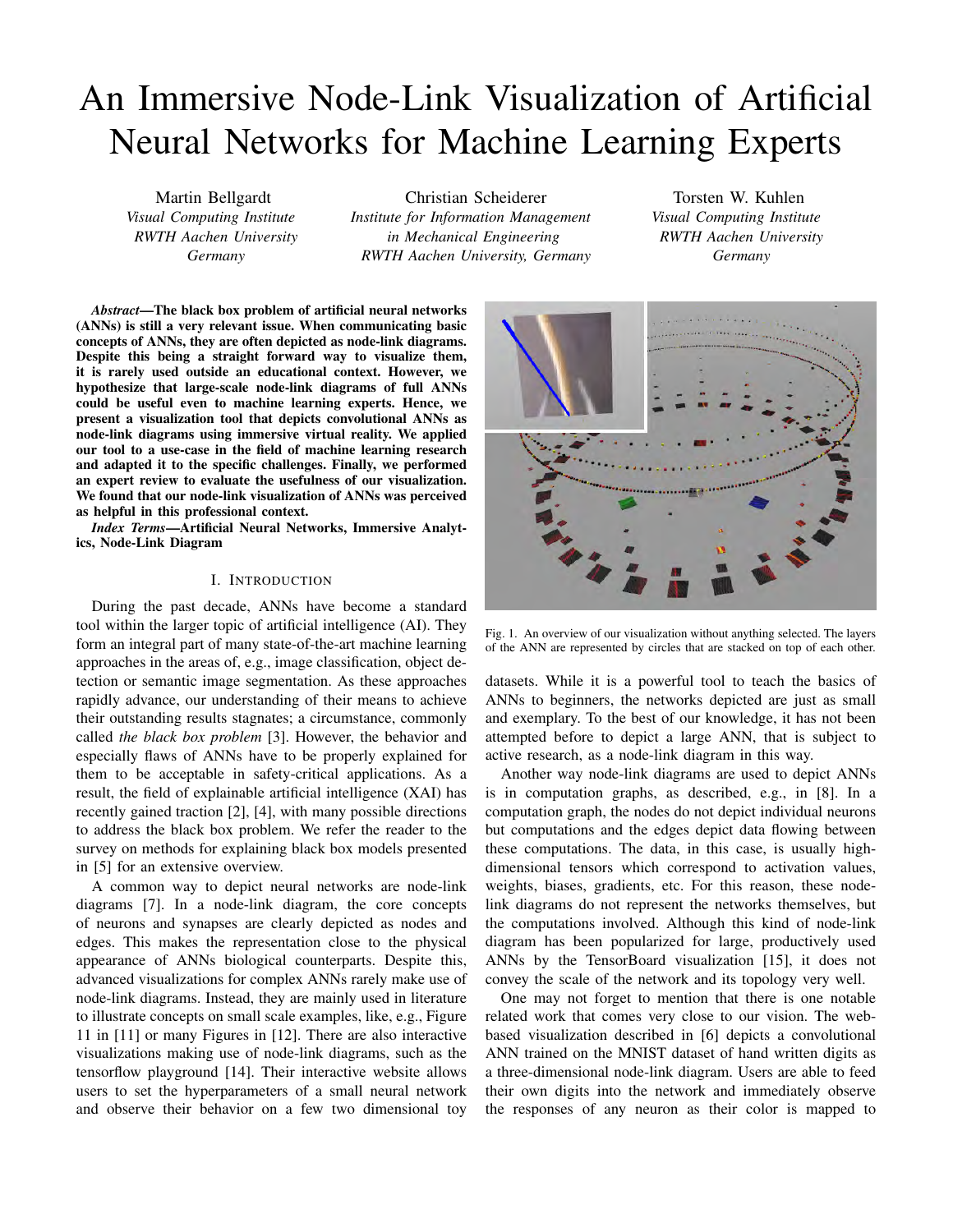# An Immersive Node-Link Visualization of Artificial Neural Networks for Machine Learning Experts

Martin Bellgardt *Visual Computing Institute RWTH Aachen University Germany*

Christian Scheiderer *Institute for Information Management in Mechanical Engineering RWTH Aachen University, Germany*

*Abstract*—The black box problem of artificial neural networks (ANNs) is still a very relevant issue. When communicating basic concepts of ANNs, they are often depicted as node-link diagrams. Despite this being a straight forward way to visualize them, it is rarely used outside an educational context. However, we hypothesize that large-scale node-link diagrams of full ANNs could be useful even to machine learning experts. Hence, we present a visualization tool that depicts convolutional ANNs as node-link diagrams using immersive virtual reality. We applied our tool to a use-case in the field of machine learning research and adapted it to the specific challenges. Finally, we performed an expert review to evaluate the usefulness of our visualization. We found that our node-link visualization of ANNs was perceived as helpful in this professional context.

*Index Terms*—Artificial Neural Networks, Immersive Analytics, Node-Link Diagram

## I. INTRODUCTION

During the past decade, ANNs have become a standard tool within the larger topic of artificial intelligence (AI). They form an integral part of many state-of-the-art machine learning approaches in the areas of, e.g., image classification, object detection or semantic image segmentation. As these approaches rapidly advance, our understanding of their means to achieve their outstanding results stagnates; a circumstance, commonly called *the black box problem* [3]. However, the behavior and especially flaws of ANNs have to be properly explained for them to be acceptable in safety-critical applications. As a result, the field of explainable artificial intelligence (XAI) has recently gained traction [2], [4], with many possible directions to address the black box problem. We refer the reader to the survey on methods for explaining black box models presented in [5] for an extensive overview.

A common way to depict neural networks are node-link diagrams [7]. In a node-link diagram, the core concepts of neurons and synapses are clearly depicted as nodes and edges. This makes the representation close to the physical appearance of ANNs biological counterparts. Despite this, advanced visualizations for complex ANNs rarely make use of node-link diagrams. Instead, they are mainly used in literature to illustrate concepts on small scale examples, like, e.g., Figure 11 in [11] or many Figures in [12]. There are also interactive visualizations making use of node-link diagrams, such as the tensorflow playground [14]. Their interactive website allows users to set the hyperparameters of a small neural network and observe their behavior on a few two dimensional toy

Torsten W. Kuhlen *Visual Computing Institute RWTH Aachen University Germany*



Fig. 1. An overview of our visualization without anything selected. The layers of the ANN are represented by circles that are stacked on top of each other.

datasets. While it is a powerful tool to teach the basics of ANNs to beginners, the networks depicted are just as small and exemplary. To the best of our knowledge, it has not been attempted before to depict a large ANN, that is subject to active research, as a node-link diagram in this way.

Another way node-link diagrams are used to depict ANNs is in computation graphs, as described, e.g., in [8]. In a computation graph, the nodes do not depict individual neurons but computations and the edges depict data flowing between these computations. The data, in this case, is usually highdimensional tensors which correspond to activation values, weights, biases, gradients, etc. For this reason, these nodelink diagrams do not represent the networks themselves, but the computations involved. Although this kind of node-link diagram has been popularized for large, productively used ANNs by the TensorBoard visualization [15], it does not convey the scale of the network and its topology very well.

One may not forget to mention that there is one notable related work that comes very close to our vision. The webbased visualization described in [6] depicts a convolutional ANN trained on the MNIST dataset of hand written digits as a three-dimensional node-link diagram. Users are able to feed their own digits into the network and immediately observe the responses of any neuron as their color is mapped to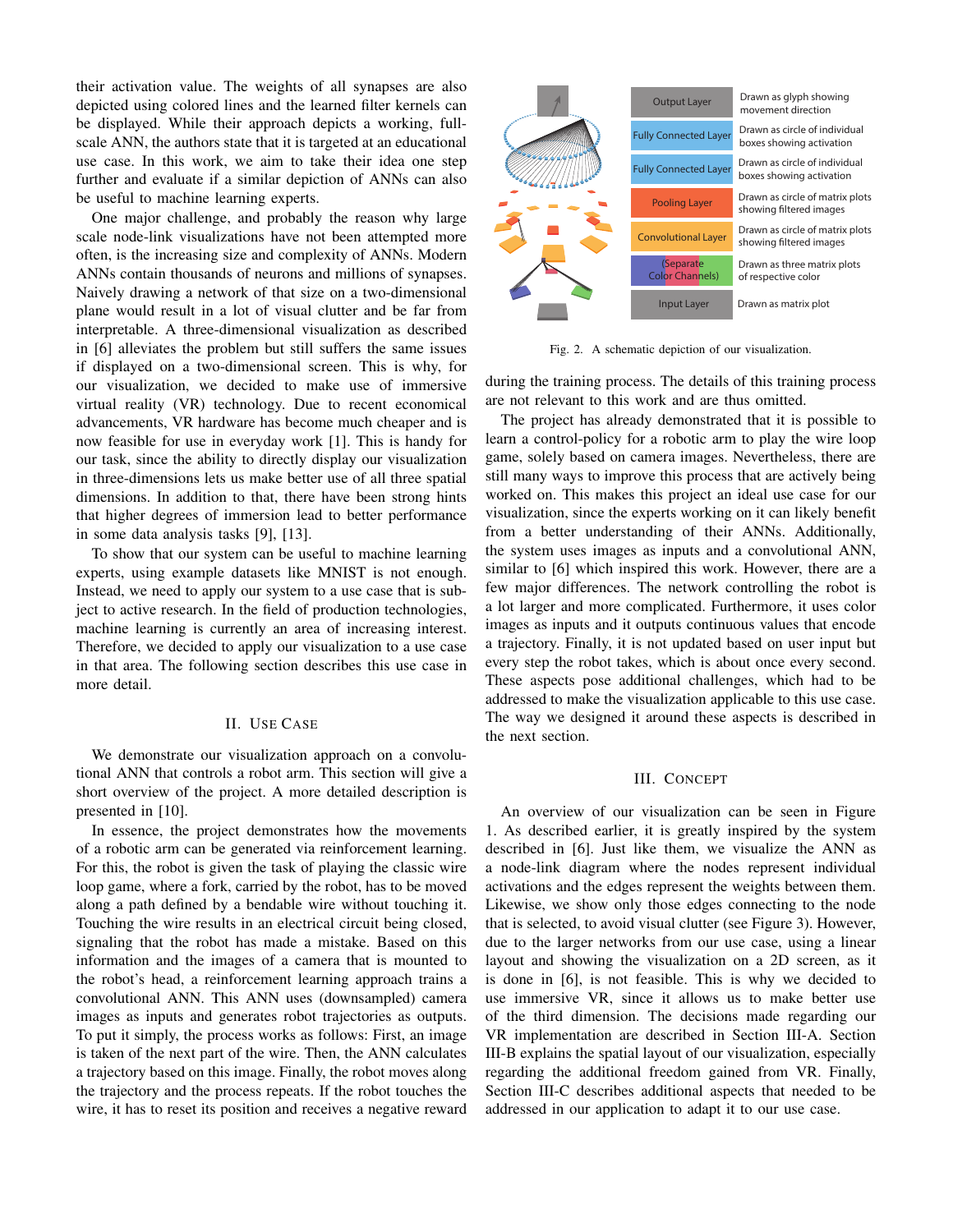their activation value. The weights of all synapses are also depicted using colored lines and the learned filter kernels can be displayed. While their approach depicts a working, fullscale ANN, the authors state that it is targeted at an educational use case. In this work, we aim to take their idea one step further and evaluate if a similar depiction of ANNs can also be useful to machine learning experts.

One major challenge, and probably the reason why large scale node-link visualizations have not been attempted more often, is the increasing size and complexity of ANNs. Modern ANNs contain thousands of neurons and millions of synapses. Naively drawing a network of that size on a two-dimensional plane would result in a lot of visual clutter and be far from interpretable. A three-dimensional visualization as described in [6] alleviates the problem but still suffers the same issues if displayed on a two-dimensional screen. This is why, for our visualization, we decided to make use of immersive virtual reality (VR) technology. Due to recent economical advancements, VR hardware has become much cheaper and is now feasible for use in everyday work [1]. This is handy for our task, since the ability to directly display our visualization in three-dimensions lets us make better use of all three spatial dimensions. In addition to that, there have been strong hints that higher degrees of immersion lead to better performance in some data analysis tasks [9], [13].

To show that our system can be useful to machine learning experts, using example datasets like MNIST is not enough. Instead, we need to apply our system to a use case that is subject to active research. In the field of production technologies, machine learning is currently an area of increasing interest. Therefore, we decided to apply our visualization to a use case in that area. The following section describes this use case in more detail.

## II. USE CASE

We demonstrate our visualization approach on a convolutional ANN that controls a robot arm. This section will give a short overview of the project. A more detailed description is presented in [10].

In essence, the project demonstrates how the movements of a robotic arm can be generated via reinforcement learning. For this, the robot is given the task of playing the classic wire loop game, where a fork, carried by the robot, has to be moved along a path defined by a bendable wire without touching it. Touching the wire results in an electrical circuit being closed, signaling that the robot has made a mistake. Based on this information and the images of a camera that is mounted to the robot's head, a reinforcement learning approach trains a convolutional ANN. This ANN uses (downsampled) camera images as inputs and generates robot trajectories as outputs. To put it simply, the process works as follows: First, an image is taken of the next part of the wire. Then, the ANN calculates a trajectory based on this image. Finally, the robot moves along the trajectory and the process repeats. If the robot touches the wire, it has to reset its position and receives a negative reward



Fig. 2. A schematic depiction of our visualization.

during the training process. The details of this training process are not relevant to this work and are thus omitted.

The project has already demonstrated that it is possible to learn a control-policy for a robotic arm to play the wire loop game, solely based on camera images. Nevertheless, there are still many ways to improve this process that are actively being worked on. This makes this project an ideal use case for our visualization, since the experts working on it can likely benefit from a better understanding of their ANNs. Additionally, the system uses images as inputs and a convolutional ANN, similar to [6] which inspired this work. However, there are a few major differences. The network controlling the robot is a lot larger and more complicated. Furthermore, it uses color images as inputs and it outputs continuous values that encode a trajectory. Finally, it is not updated based on user input but every step the robot takes, which is about once every second. These aspects pose additional challenges, which had to be addressed to make the visualization applicable to this use case. The way we designed it around these aspects is described in the next section.

## III. CONCEPT

An overview of our visualization can be seen in Figure 1. As described earlier, it is greatly inspired by the system described in [6]. Just like them, we visualize the ANN as a node-link diagram where the nodes represent individual activations and the edges represent the weights between them. Likewise, we show only those edges connecting to the node that is selected, to avoid visual clutter (see Figure 3). However, due to the larger networks from our use case, using a linear layout and showing the visualization on a 2D screen, as it is done in [6], is not feasible. This is why we decided to use immersive VR, since it allows us to make better use of the third dimension. The decisions made regarding our VR implementation are described in Section III-A. Section III-B explains the spatial layout of our visualization, especially regarding the additional freedom gained from VR. Finally, Section III-C describes additional aspects that needed to be addressed in our application to adapt it to our use case.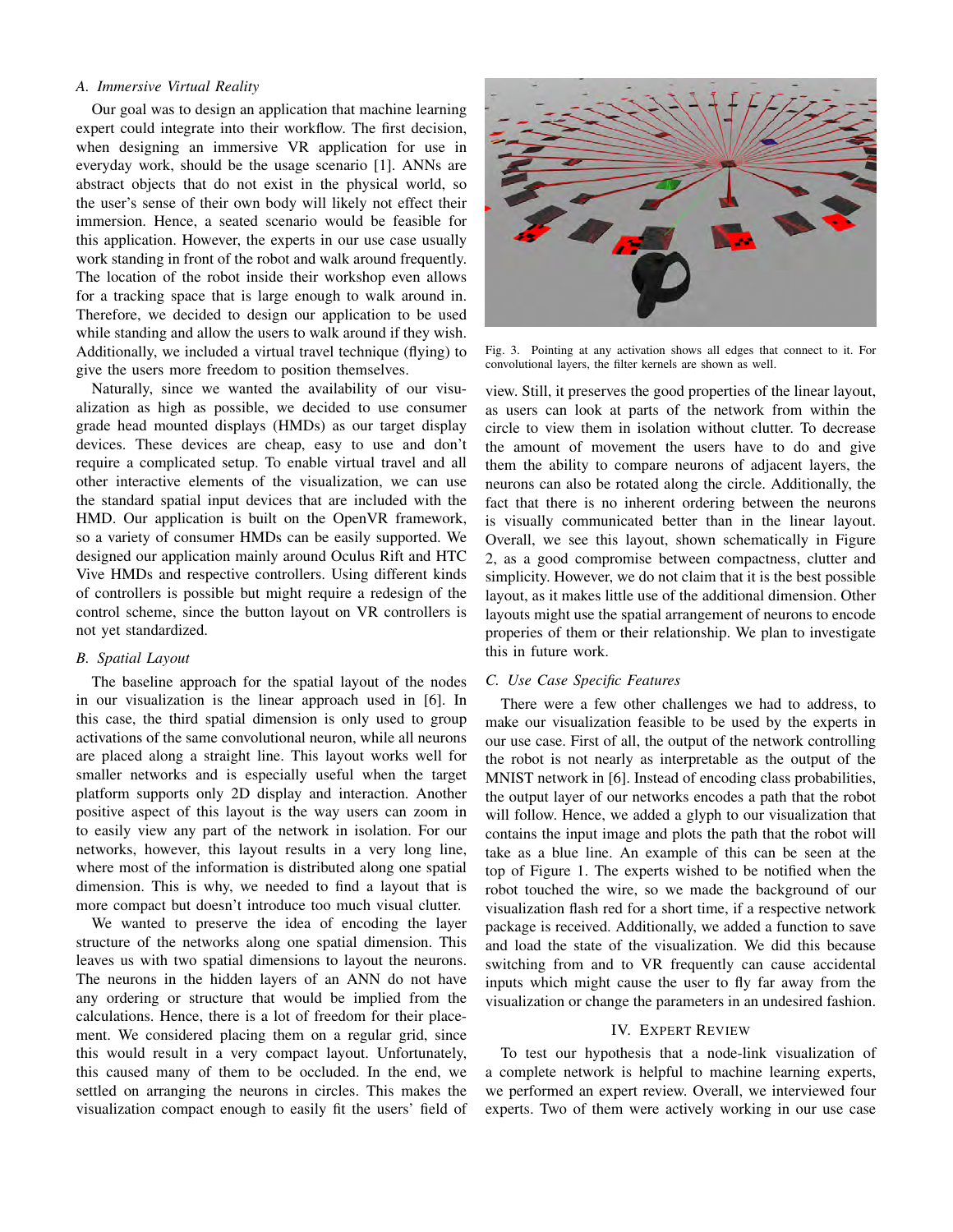## *A. Immersive Virtual Reality*

Our goal was to design an application that machine learning expert could integrate into their workflow. The first decision, when designing an immersive VR application for use in everyday work, should be the usage scenario [1]. ANNs are abstract objects that do not exist in the physical world, so the user's sense of their own body will likely not effect their immersion. Hence, a seated scenario would be feasible for this application. However, the experts in our use case usually work standing in front of the robot and walk around frequently. The location of the robot inside their workshop even allows for a tracking space that is large enough to walk around in. Therefore, we decided to design our application to be used while standing and allow the users to walk around if they wish. Additionally, we included a virtual travel technique (flying) to give the users more freedom to position themselves.

Naturally, since we wanted the availability of our visualization as high as possible, we decided to use consumer grade head mounted displays (HMDs) as our target display devices. These devices are cheap, easy to use and don't require a complicated setup. To enable virtual travel and all other interactive elements of the visualization, we can use the standard spatial input devices that are included with the HMD. Our application is built on the OpenVR framework, so a variety of consumer HMDs can be easily supported. We designed our application mainly around Oculus Rift and HTC Vive HMDs and respective controllers. Using different kinds of controllers is possible but might require a redesign of the control scheme, since the button layout on VR controllers is not yet standardized.

## *B. Spatial Layout*

The baseline approach for the spatial layout of the nodes in our visualization is the linear approach used in [6]. In this case, the third spatial dimension is only used to group activations of the same convolutional neuron, while all neurons are placed along a straight line. This layout works well for smaller networks and is especially useful when the target platform supports only 2D display and interaction. Another positive aspect of this layout is the way users can zoom in to easily view any part of the network in isolation. For our networks, however, this layout results in a very long line, where most of the information is distributed along one spatial dimension. This is why, we needed to find a layout that is more compact but doesn't introduce too much visual clutter.

We wanted to preserve the idea of encoding the layer structure of the networks along one spatial dimension. This leaves us with two spatial dimensions to layout the neurons. The neurons in the hidden layers of an ANN do not have any ordering or structure that would be implied from the calculations. Hence, there is a lot of freedom for their placement. We considered placing them on a regular grid, since this would result in a very compact layout. Unfortunately, this caused many of them to be occluded. In the end, we settled on arranging the neurons in circles. This makes the visualization compact enough to easily fit the users' field of



Fig. 3. Pointing at any activation shows all edges that connect to it. For convolutional layers, the filter kernels are shown as well.

view. Still, it preserves the good properties of the linear layout, as users can look at parts of the network from within the circle to view them in isolation without clutter. To decrease the amount of movement the users have to do and give them the ability to compare neurons of adjacent layers, the neurons can also be rotated along the circle. Additionally, the fact that there is no inherent ordering between the neurons is visually communicated better than in the linear layout. Overall, we see this layout, shown schematically in Figure 2, as a good compromise between compactness, clutter and simplicity. However, we do not claim that it is the best possible layout, as it makes little use of the additional dimension. Other layouts might use the spatial arrangement of neurons to encode properies of them or their relationship. We plan to investigate this in future work.

#### *C. Use Case Specific Features*

There were a few other challenges we had to address, to make our visualization feasible to be used by the experts in our use case. First of all, the output of the network controlling the robot is not nearly as interpretable as the output of the MNIST network in [6]. Instead of encoding class probabilities, the output layer of our networks encodes a path that the robot will follow. Hence, we added a glyph to our visualization that contains the input image and plots the path that the robot will take as a blue line. An example of this can be seen at the top of Figure 1. The experts wished to be notified when the robot touched the wire, so we made the background of our visualization flash red for a short time, if a respective network package is received. Additionally, we added a function to save and load the state of the visualization. We did this because switching from and to VR frequently can cause accidental inputs which might cause the user to fly far away from the visualization or change the parameters in an undesired fashion.

## IV. EXPERT REVIEW

To test our hypothesis that a node-link visualization of a complete network is helpful to machine learning experts, we performed an expert review. Overall, we interviewed four experts. Two of them were actively working in our use case